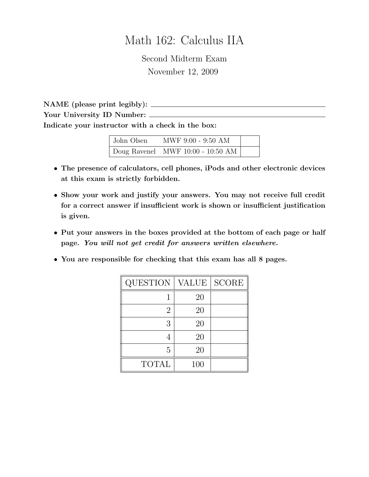# Math 162: Calculus IIA

Second Midterm Exam November 12, 2009

NAME (please print legibly): Your University ID Number: \_\_\_\_\_\_ Indicate your instructor with a check in the box:

| John Olsen | MWF 9:00 - 9:50 AM                        |  |
|------------|-------------------------------------------|--|
|            | $\vert$ Doug Ravenel MWF 10:00 - 10:50 AM |  |

- The presence of calculators, cell phones, iPods and other electronic devices at this exam is strictly forbidden.
- Show your work and justify your answers. You may not receive full credit for a correct answer if insufficient work is shown or insufficient justification is given.
- Put your answers in the boxes provided at the bottom of each page or half page. You will not get credit for answers written elsewhere.
- You are responsible for checking that this exam has all 8 pages.

| <b>QUESTION</b> | <b>VALUE</b> | <b>SCORE</b> |
|-----------------|--------------|--------------|
|                 | 20           |              |
| $\overline{2}$  | 20           |              |
| 3               | 20           |              |
|                 | 20           |              |
| 5               | 20           |              |
| <b>TOTAL</b>    | 100          |              |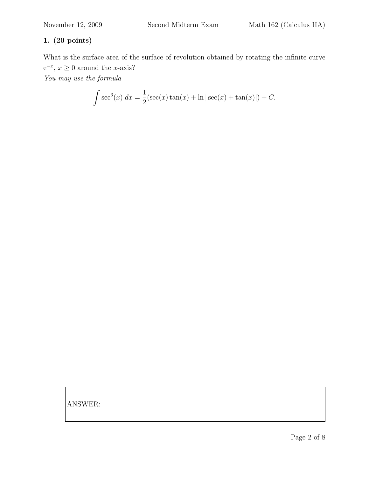What is the surface area of the surface of revolution obtained by rotating the infinite curve  $e^{-x}$ ,  $x \ge 0$  around the *x*-axis? You may use the formula

$$
\int \sec^3(x) \, dx = \frac{1}{2} (\sec(x) \tan(x) + \ln|\sec(x) + \tan(x)|) + C.
$$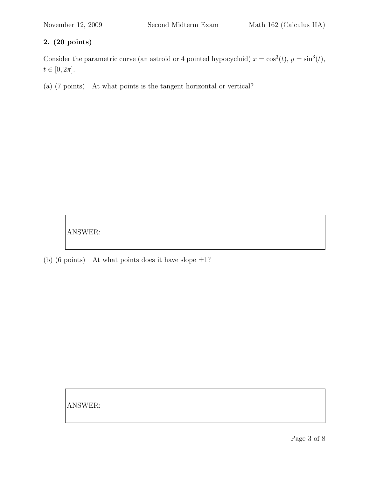Consider the parametric curve (an astroid or 4 pointed hypocycloid)  $x = \cos^3(t)$ ,  $y = \sin^3(t)$ ,  $t \in [0, 2\pi]$ .

(a) (7 points) At what points is the tangent horizontal or vertical?

ANSWER:

(b) (6 points) At what points does it have slope  $\pm 1$ ?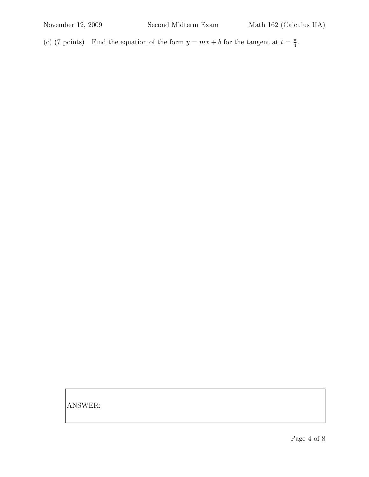(c) (7 points) Find the equation of the form  $y = mx + b$  for the tangent at  $t = \frac{\pi}{4}$  $\frac{\pi}{4}$ .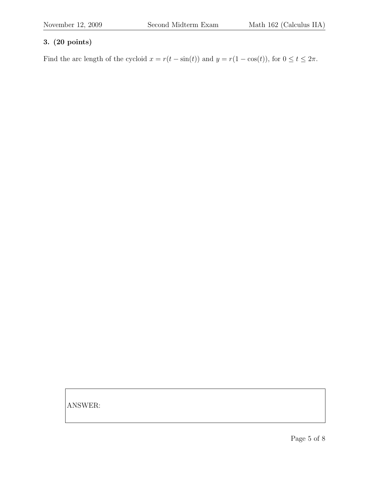Find the arc length of the cycloid  $x = r(t - \sin(t))$  and  $y = r(1 - \cos(t))$ , for  $0 \le t \le 2\pi$ .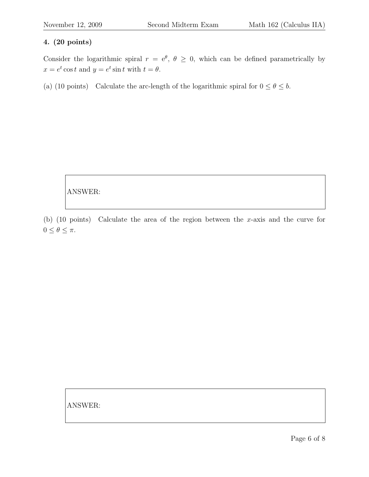Consider the logarithmic spiral  $r = e^{\theta}, \theta \ge 0$ , which can be defined parametrically by  $x = e^t \cos t$  and  $y = e^t \sin t$  with  $t = \theta$ .

(a) (10 points) Calculate the arc-length of the logarithmic spiral for  $0 \le \theta \le b$ .

ANSWER:

(b) (10 points) Calculate the area of the region between the x-axis and the curve for  $0\leq\theta\leq\pi.$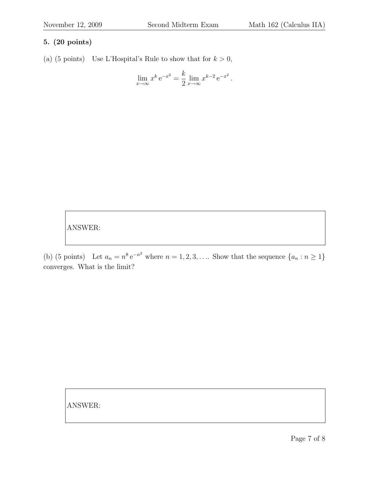(a) (5 points) Use L'Hospital's Rule to show that for  $k > 0$ ,

$$
\lim_{x \to \infty} x^k e^{-x^2} = \frac{k}{2} \lim_{x \to \infty} x^{k-2} e^{-x^2}.
$$

ANSWER:

(b) (5 points) Let  $a_n = n^8 e^{-n^2}$  where  $n = 1, 2, 3, \ldots$  Show that the sequence  $\{a_n : n \ge 1\}$ converges. What is the limit?